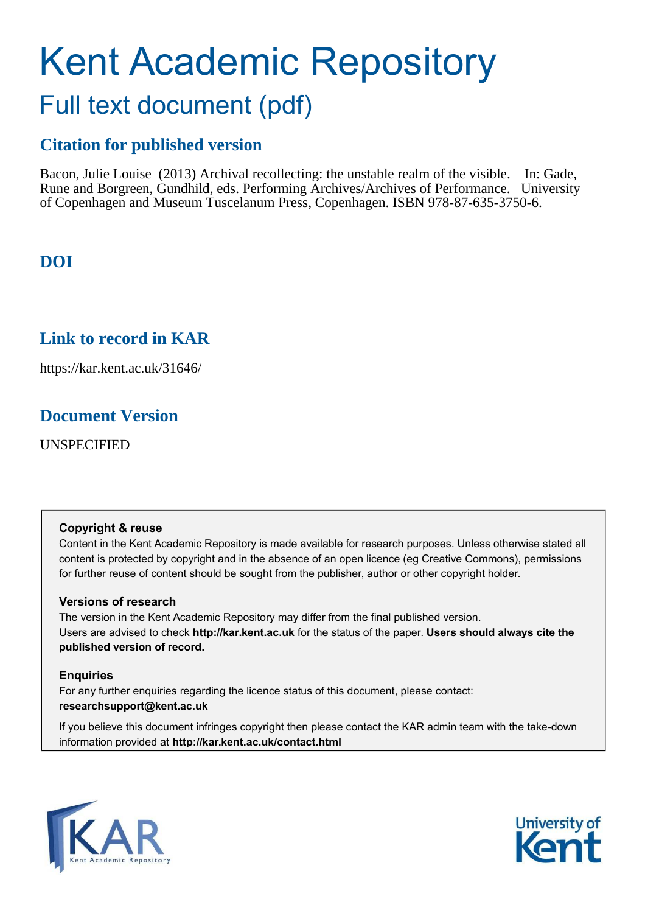# Kent Academic Repository Full text document (pdf)

## **Citation for published version**

Bacon, Julie Louise (2013) Archival recollecting: the unstable realm of the visible. In: Gade, Rune and Borgreen, Gundhild, eds. Performing Archives/Archives of Performance. University of Copenhagen and Museum Tuscelanum Press, Copenhagen. ISBN 978-87-635-3750-6.

**DOI**

## **Link to record in KAR**

https://kar.kent.ac.uk/31646/

## **Document Version**

UNSPECIFIED

#### **Copyright & reuse**

Content in the Kent Academic Repository is made available for research purposes. Unless otherwise stated all content is protected by copyright and in the absence of an open licence (eg Creative Commons), permissions for further reuse of content should be sought from the publisher, author or other copyright holder.

#### **Versions of research**

The version in the Kent Academic Repository may differ from the final published version. Users are advised to check **http://kar.kent.ac.uk** for the status of the paper. **Users should always cite the published version of record.**

#### **Enquiries**

For any further enquiries regarding the licence status of this document, please contact: **researchsupport@kent.ac.uk**

If you believe this document infringes copyright then please contact the KAR admin team with the take-down information provided at **http://kar.kent.ac.uk/contact.html**



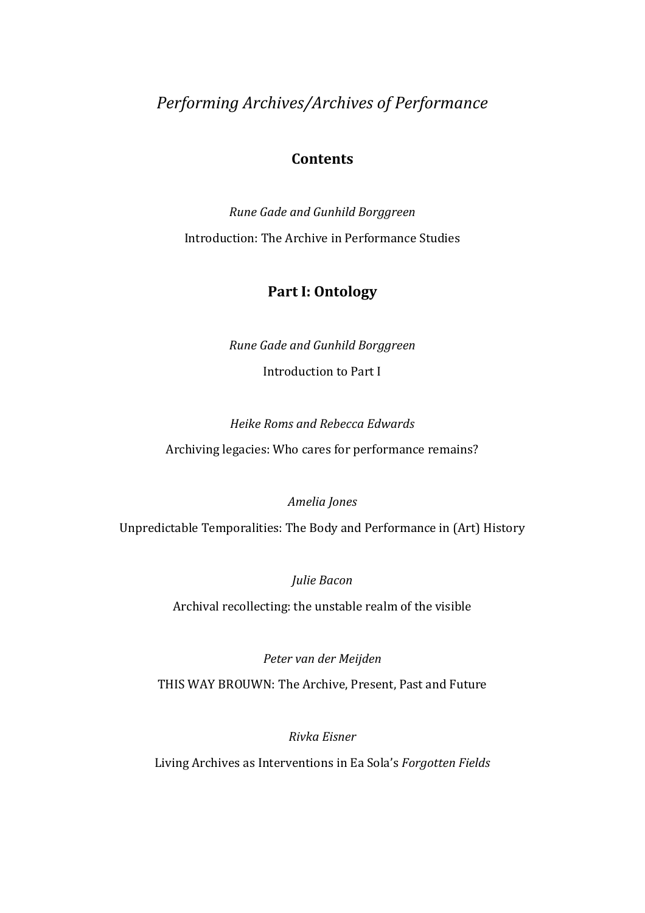*Performing Archives/Archives of Performance* 

#### **Contents**

*Rune Gade and Gunhild Borggreen*  Introduction: The Archive in Performance Studies

### **Part I: Ontology**

*Rune Gade and Gunhild Borggreen*  Introduction to Part I

*Heike Roms and Rebecca Edwards*  Archiving legacies: Who cares for performance remains?

*Amelia Jones* 

Unpredictable Temporalities: The Body and Performance in (Art) History

*Julie Bacon* 

Archival recollecting: the unstable realm of the visible

*Peter van der Meijden*  THIS WAY BROUWN: The Archive, Present, Past and Future

*Rivka Eisner* 

Living Archives as Interventions in Ea Sola's *Forgotten Fields*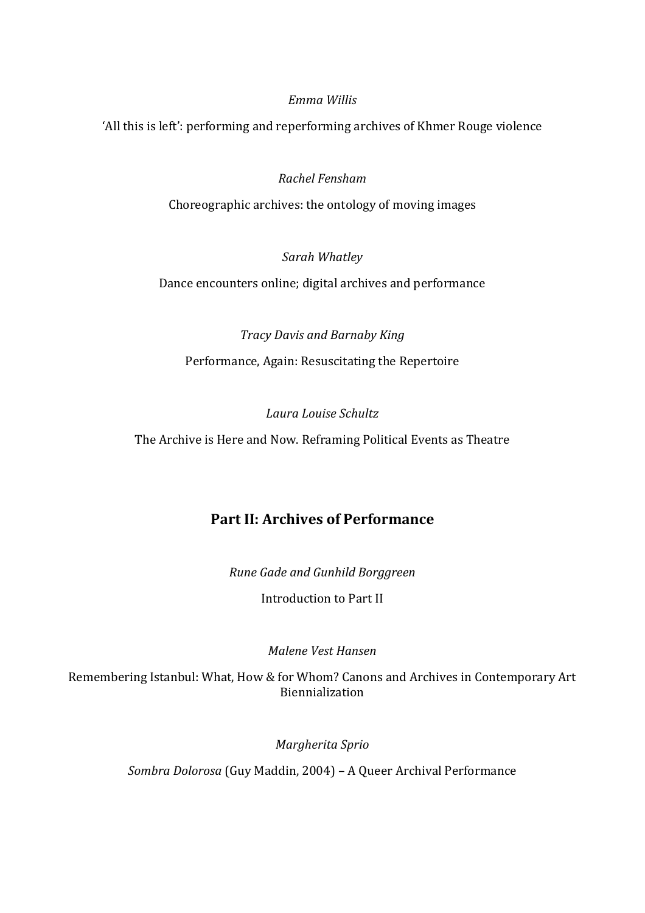#### *Emma Willis*

'All this is left': performing and reperforming archives of Khmer Rouge violence

#### *Rachel Fensham*

Choreographic archives: the ontology of moving images

#### *Sarah Whatley*

Dance encounters online; digital archives and performance

## *Tracy Davis and Barnaby King*  Performance, Again: Resuscitating the Repertoire

#### *Laura Louise Schultz*

The Archive is Here and Now. Reframing Political Events as Theatre

## **Part II: Archives of Performance**

*Rune Gade and Gunhild Borggreen*  Introduction to Part II

#### *Malene Vest Hansen*

Remembering Istanbul: What, How & for Whom? Canons and Archives in Contemporary Art Biennialization

*Margherita Sprio* 

*Sombra Dolorosa* (Guy Maddin, 2004) ‒ A Queer Archival Performance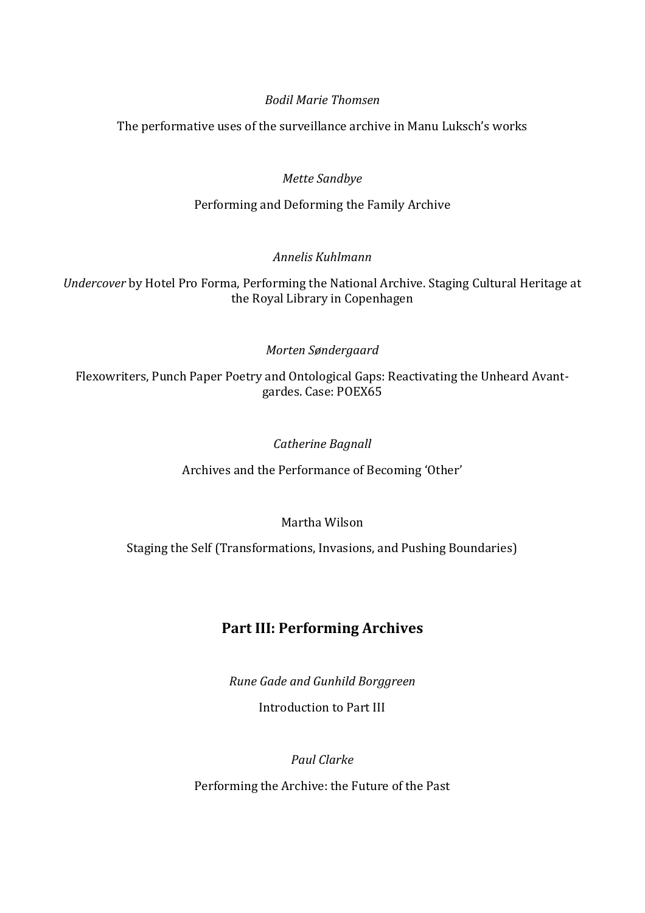#### *Bodil Marie Thomsen*

The performative uses of the surveillance archive in Manu Luksch's works

#### *Mette Sandbye*

Performing and Deforming the Family Archive

#### *Annelis Kuhlmann*

*Undercover* by Hotel Pro Forma, Performing the National Archive. Staging Cultural Heritage at the Royal Library in Copenhagen

#### *Morten Søndergaard*

Flexowriters, Punch Paper Poetry and Ontological Gaps: Reactivating the Unheard Avantgardes. Case: POEX65

#### *Catherine Bagnall*

Archives and the Performance of Becoming 'Other'

#### Martha Wilson

Staging the Self (Transformations, Invasions, and Pushing Boundaries)

## **Part III: Performing Archives**

*Rune Gade and Gunhild Borggreen* 

Introduction to Part III

#### *Paul Clarke*

Performing the Archive: the Future of the Past